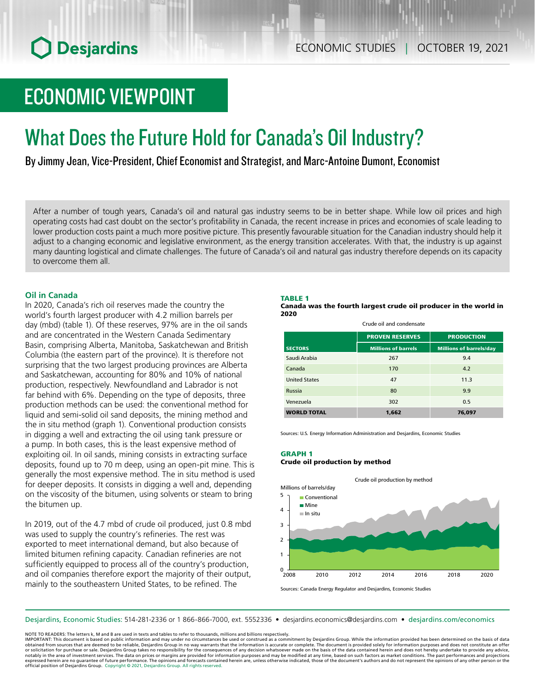# ECONOMIC VIEWPOINT

# What Does the Future Hold for Canada's Oil Industry?

By Jimmy Jean, Vice-President, Chief Economist and Strategist, and Marc-Antoine Dumont, Economist

After a number of tough years, Canada's oil and natural gas industry seems to be in better shape. While low oil prices and high operating costs had cast doubt on the sector's profitability in Canada, the recent increase in prices and economies of scale leading to lower production costs paint a much more positive picture. This presently favourable situation for the Canadian industry should help it adjust to a changing economic and legislative environment, as the energy transition accelerates. With that, the industry is up against many daunting logistical and climate challenges. The future of Canada's oil and natural gas industry therefore depends on its capacity to overcome them all.

# **Oil in Canada**

In 2020, Canada's rich oil reserves made the country the world's fourth largest producer with 4.2 million barrels per day (mbd) (table 1). Of these reserves, 97% are in the oil sands and are concentrated in the Western Canada Sedimentary Basin, comprising Alberta, Manitoba, Saskatchewan and British Columbia (the eastern part of the province). It is therefore not surprising that the two largest producing provinces are Alberta and Saskatchewan, accounting for 80% and 10% of national production, respectively. Newfoundland and Labrador is not far behind with 6%. Depending on the type of deposits, three production methods can be used: the conventional method for liquid and semi-solid oil sand deposits, the mining method and the in situ method (graph 1). Conventional production consists in digging a well and extracting the oil using tank pressure or a pump. In both cases, this is the least expensive method of exploiting oil. In oil sands, mining consists in extracting surface deposits, found up to 70 m deep, using an open-pit mine. This is generally the most expensive method. The in situ method is used for deeper deposits. It consists in digging a well and, depending on the viscosity of the bitumen, using solvents or steam to bring the bitumen up.

In 2019, out of the 4.7 mbd of crude oil produced, just 0.8 mbd was used to supply the country's refineries. The rest was exported to meet international demand, but also because of limited bitumen refining capacity. Canadian refineries are not sufficiently equipped to process all of the country's production, and oil companies therefore export the majority of their output, mainly to the southeastern United States, to be refined. The

## TABLE 1

Canada was the fourth largest crude oil producer in the world in 2020

Crude oil and condensate

|                      | <b>PROVEN RESERVES</b>     | <b>PRODUCTION</b>              |
|----------------------|----------------------------|--------------------------------|
| <b>SECTORS</b>       | <b>Millions of barrels</b> | <b>Millions of barrels/day</b> |
| Saudi Arabia         | 267                        | 9.4                            |
| Canada               | 170                        | 4.2                            |
| <b>United States</b> | 47                         | 11.3                           |
| Russia               | 80                         | 9.9                            |
| Venezuela            | 302                        | 0.5                            |
| <b>WORLD TOTAL</b>   | 1,662                      | 76,097                         |

Sources: U.S. Energy Information Administration and Desjardins, Economic Studies

### GRAPH 1 Crude oil production by method



Sources: Canada Energy Regulator and Desjardins, Economic Studies

Desjardins, Economic Studies: 514‑281‑2336 or 1 866‑866‑7000, ext. 5552336 • desjardins.economics@desjardins.com • [desjardins.com/economics](http://desjardins.com/economics)

NOTE TO READERS: The letters k, M and B are used in texts and tables to refer to thousands, millions and billions respectively.

IMPORTANT: This document is based on public information and may under no circumstances be used or construed as a commitment by Desjardins Group. While the information provided has been determined on the basis of data<br>obtai notably in the area of investment services. The data on prices or margins are provided for information purposes and may be modified at any time, based on such factors as market conditions. The past performances and project expressed herein are no guarantee of future performance. The opinions and forecasts contained herein are, unless otherwise indicated, those of the document's authors and do not represent the opinions of any other person or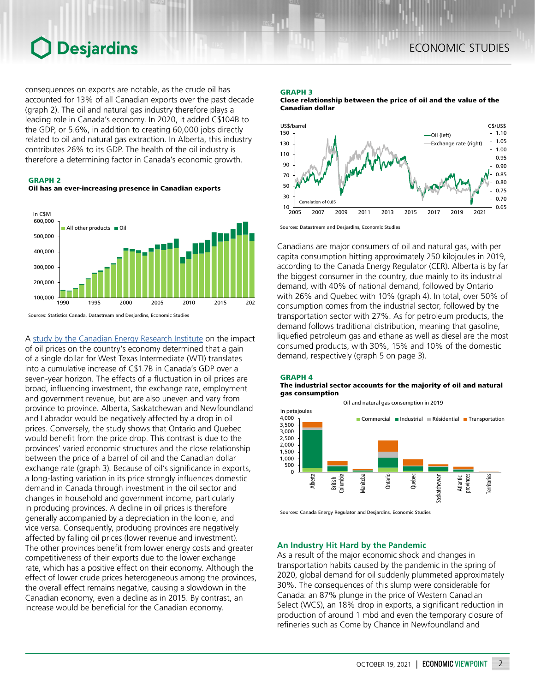consequences on exports are notable, as the crude oil has accounted for 13% of all Canadian exports over the past decade (graph 2). The oil and natural gas industry therefore plays a leading role in Canada's economy. In 2020, it added C\$104B to the GDP, or 5.6%, in addition to creating 60,000 jobs directly related to oil and natural gas extraction. In Alberta, this industry contributes 26% to its GDP. The health of the oil industry is therefore a determining factor in Canada's economic growth.







A [study by the Canadian Energy Research Institute](https://ceri.ca/studies/low-crude-oil-prices-and-their-impact-on-the-canadian-economy) on the impact of oil prices on the country's economy determined that a gain of a single dollar for West Texas Intermediate (WTI) translates into a cumulative increase of C\$1.7B in Canada's GDP over a seven-year horizon. The effects of a fluctuation in oil prices are broad, influencing investment, the exchange rate, employment and government revenue, but are also uneven and vary from province to province. Alberta, Saskatchewan and Newfoundland and Labrador would be negatively affected by a drop in oil prices. Conversely, the study shows that Ontario and Quebec would benefit from the price drop. This contrast is due to the provinces' varied economic structures and the close relationship between the price of a barrel of oil and the Canadian dollar exchange rate (graph 3). Because of oil's significance in exports, a long-lasting variation in its price strongly influences domestic demand in Canada through investment in the oil sector and changes in household and government income, particularly in producing provinces. A decline in oil prices is therefore generally accompanied by a depreciation in the loonie, and vice versa. Consequently, producing provinces are negatively affected by falling oil prices (lower revenue and investment). The other provinces benefit from lower energy costs and greater competitiveness of their exports due to the lower exchange rate, which has a positive effect on their economy. Although the effect of lower crude prices heterogeneous among the provinces, the overall effect remains negative, causing a slowdown in the Canadian economy, even a decline as in 2015. By contrast, an increase would be beneficial for the Canadian economy.

# GRAPH 3

Close relationship between the price of oil and the value of the Canadian dollar



Sources: Datastream and Desjardins, Economic Studies

Canadians are major consumers of oil and natural gas, with per capita consumption hitting approximately 250 kilojoules in 2019, according to the Canada Energy Regulator (CER). Alberta is by far the biggest consumer in the country, due mainly to its industrial demand, with 40% of national demand, followed by Ontario with 26% and Quebec with 10% (graph 4). In total, over 50% of consumption comes from the industrial sector, followed by the transportation sector with 27%. As for petroleum products, the demand follows traditional distribution, meaning that gasoline, liquefied petroleum gas and ethane as well as diesel are the most consumed products, with 30%, 15% and 10% of the domestic demand, respectively (graph 5 on page 3).

#### GRAPH 4 The industrial sector accounts for the majority of oil and natural gas consumption



Sources: Canada Energy Regulator and Desjardins, Economic Studies

# **An Industry Hit Hard by the Pandemic**

As a result of the major economic shock and changes in transportation habits caused by the pandemic in the spring of 2020, global demand for oil suddenly plummeted approximately 30%. The consequences of this slump were considerable for Canada: an 87% plunge in the price of Western Canadian Select (WCS), an 18% drop in exports, a significant reduction in production of around 1 mbd and even the temporary closure of refineries such as Come by Chance in Newfoundland and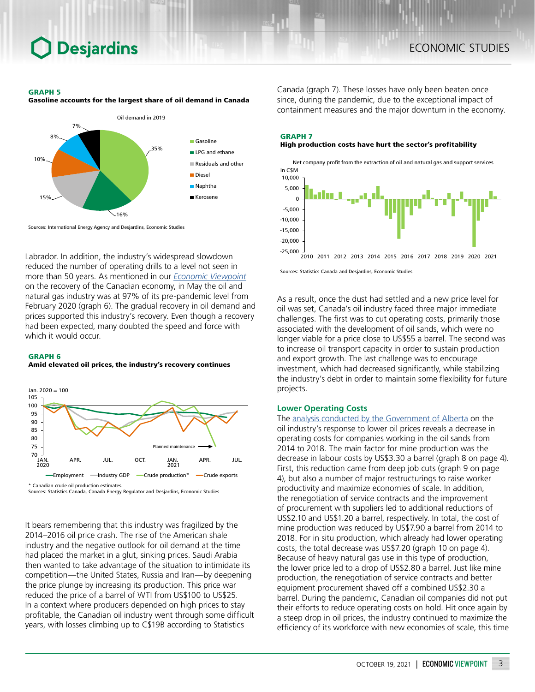#### GRAPH 5

Gasoline accounts for the largest share of oil demand in Canada



Sources: International Energy Agency and Desjardins, Economic Studies

Labrador. In addition, the industry's widespread slowdown reduced the number of operating drills to a level not seen in more than 50 years. As mentioned in our *[Economic Viewpoint](https://www.desjardins.com/ressources/pdf/pv210825-e.pdf?resVer=1629901987000)* on the recovery of the Canadian economy, in May the oil and natural gas industry was at 97% of its pre-pandemic level from February 2020 (graph 6). The gradual recovery in oil demand and prices supported this industry's recovery. Even though a recovery had been expected, many doubted the speed and force with which it would occur.

#### GRAPH 6

Amid elevated oil prices, the industry's recovery continues



Sources: Statistics Canada, Canada Energy Regulator and Desjardins, Economic Studies

It bears remembering that this industry was fragilized by the 2014–2016 oil price crash. The rise of the American shale industry and the negative outlook for oil demand at the time had placed the market in a glut, sinking prices. Saudi Arabia then wanted to take advantage of the situation to intimidate its competition—the United States, Russia and Iran—by deepening the price plunge by increasing its production. This price war reduced the price of a barrel of WTI from US\$100 to US\$25. In a context where producers depended on high prices to stay profitable, the Canadian oil industry went through some difficult years, with losses climbing up to C\$19B according to Statistics

Canada (graph 7). These losses have only been beaten once since, during the pandemic, due to the exceptional impact of containment measures and the major downturn in the economy.

# GRAPH 7 High production costs have hurt the sector's profitability



Sources: Statistics Canada and Desjardins, Economic Studies

As a result, once the dust had settled and a new price level for oil was set, Canada's oil industry faced three major immediate challenges. The first was to cut operating costs, primarily those associated with the development of oil sands, which were no longer viable for a price close to US\$55 a barrel. The second was to increase oil transport capacity in order to sustain production and export growth. The last challenge was to encourage investment, which had decreased significantly, while stabilizing the industry's debt in order to maintain some flexibility for future projects.

# **Lower Operating Costs**

The [analysis conducted by the Government of Alberta](https://open.alberta.ca/dataset/13ab3f73-6e4e-4aac-b56b-bff38800aa65/resource/e5c850e9-d479-494c-9343-284320d10ac7/download/2019-06-economic-spotlight.pdf) on the oil industry's response to lower oil prices reveals a decrease in operating costs for companies working in the oil sands from 2014 to 2018. The main factor for mine production was the decrease in labour costs by US\$3.30 a barrel (graph 8 on page 4). First, this reduction came from deep job cuts (graph 9 on page 4), but also a number of major restructurings to raise worker productivity and maximize economies of scale. In addition, the renegotiation of service contracts and the improvement of procurement with suppliers led to additional reductions of US\$2.10 and US\$1.20 a barrel, respectively. In total, the cost of mine production was reduced by US\$7.90 a barrel from 2014 to 2018. For in situ production, which already had lower operating costs, the total decrease was US\$7.20 (graph 10 on page 4). Because of heavy natural gas use in this type of production, the lower price led to a drop of US\$2.80 a barrel. Just like mine production, the renegotiation of service contracts and better equipment procurement shaved off a combined US\$2.30 a barrel. During the pandemic, Canadian oil companies did not put their efforts to reduce operating costs on hold. Hit once again by a steep drop in oil prices, the industry continued to maximize the efficiency of its workforce with new economies of scale, this time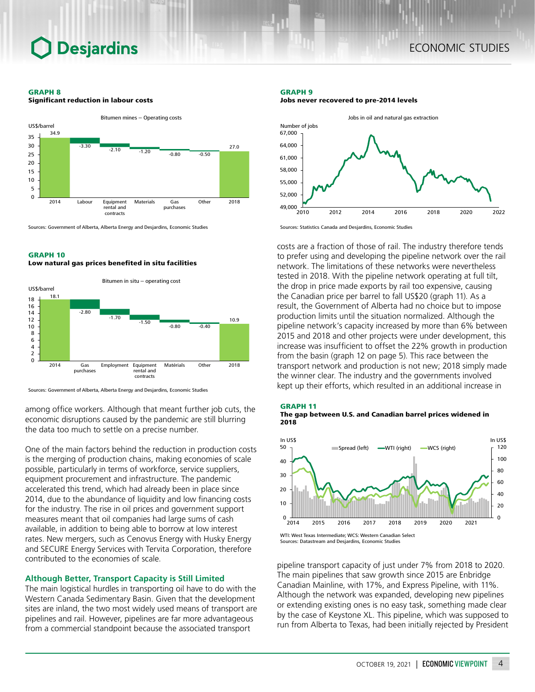#### GRAPH 8

Significant reduction in labour costs



Sources: Government of Alberta, Alberta Energy and Desjardins, Economic Studies

### GRAPH 10 Low natural gas prices benefited in situ facilities



Sources: Government of Alberta, Alberta Energy and Desjardins, Economic Studies

among office workers. Although that meant further job cuts, the economic disruptions caused by the pandemic are still blurring the data too much to settle on a precise number.

One of the main factors behind the reduction in production costs is the merging of production chains, making economies of scale possible, particularly in terms of workforce, service suppliers, equipment procurement and infrastructure. The pandemic accelerated this trend, which had already been in place since 2014, due to the abundance of liquidity and low financing costs for the industry. The rise in oil prices and government support measures meant that oil companies had large sums of cash available, in addition to being able to borrow at low interest rates. New mergers, such as Cenovus Energy with Husky Energy and SECURE Energy Services with Tervita Corporation, therefore contributed to the economies of scale.

## **Although Better, Transport Capacity is Still Limited**

The main logistical hurdles in transporting oil have to do with the Western Canada Sedimentary Basin. Given that the development sites are inland, the two most widely used means of transport are pipelines and rail. However, pipelines are far more advantageous from a commercial standpoint because the associated transport

#### GRAPH 9 Jobs never recovered to pre-2014 levels



Sources: Statistics Canada and Desjardins, Economic Studies

costs are a fraction of those of rail. The industry therefore tends to prefer using and developing the pipeline network over the rail network. The limitations of these networks were nevertheless tested in 2018. With the pipeline network operating at full tilt, the drop in price made exports by rail too expensive, causing the Canadian price per barrel to fall US\$20 (graph 11). As a result, the Government of Alberta had no choice but to impose production limits until the situation normalized. Although the pipeline network's capacity increased by more than 6% between 2015 and 2018 and other projects were under development, this increase was insufficient to offset the 22% growth in production from the basin (graph 12 on page 5). This race between the transport network and production is not new; 2018 simply made the winner clear. The industry and the governments involved kept up their efforts, which resulted in an additional increase in





Sources: Datastream and Desjardins, Economic Studies

pipeline transport capacity of just under 7% from 2018 to 2020. The main pipelines that saw growth since 2015 are Enbridge Canadian Mainline, with 17%, and Express Pipeline, with 11%. Although the network was expanded, developing new pipelines or extending existing ones is no easy task, something made clear by the case of Keystone XL. This pipeline, which was supposed to run from Alberta to Texas, had been initially rejected by President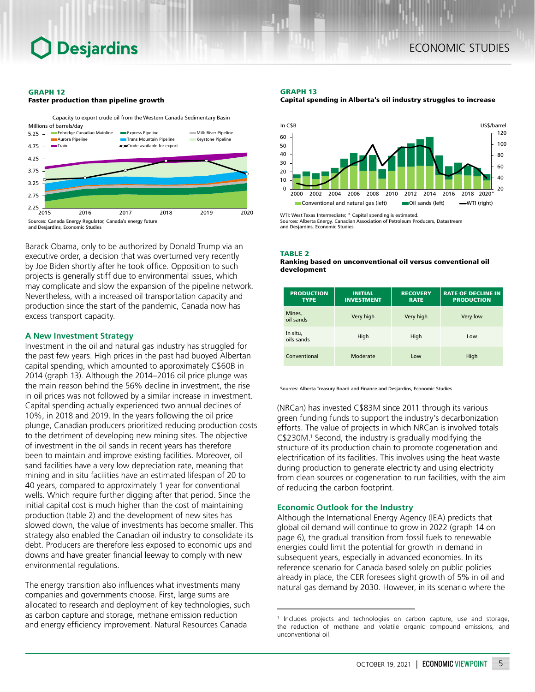#### GRAPH 12





Barack Obama, only to be authorized by Donald Trump via an executive order, a decision that was overturned very recently by Joe Biden shortly after he took office. Opposition to such projects is generally stiff due to environmental issues, which may complicate and slow the expansion of the pipeline network. Nevertheless, with a increased oil transportation capacity and production since the start of the pandemic, Canada now has excess transport capacity.

## **A New Investment Strategy**

Investment in the oil and natural gas industry has struggled for the past few years. High prices in the past had buoyed Albertan capital spending, which amounted to approximately C\$60B in 2014 (graph 13). Although the 2014–2016 oil price plunge was the main reason behind the 56% decline in investment, the rise in oil prices was not followed by a similar increase in investment. Capital spending actually experienced two annual declines of 10%, in 2018 and 2019. In the years following the oil price plunge, Canadian producers prioritized reducing production costs to the detriment of developing new mining sites. The objective of investment in the oil sands in recent years has therefore been to maintain and improve existing facilities. Moreover, oil sand facilities have a very low depreciation rate, meaning that mining and in situ facilities have an estimated lifespan of 20 to 40 years, compared to approximately 1 year for conventional wells. Which require further digging after that period. Since the initial capital cost is much higher than the cost of maintaining production (table 2) and the development of new sites has slowed down, the value of investments has become smaller. This strategy also enabled the Canadian oil industry to consolidate its debt. Producers are therefore less exposed to economic ups and downs and have greater financial leeway to comply with new environmental regulations.

The energy transition also influences what investments many companies and governments choose. First, large sums are allocated to research and deployment of key technologies, such as carbon capture and storage, methane emission reduction and energy efficiency improvement. Natural Resources Canada

#### GRAPH 13

Capital spending in Alberta's oil industry struggles to increase



WTI: West Texas Intermediate; \* Capital spending is estimated. Sources: Alberta Energy, Canadian Association of Petroleum Producers, Datastream and Desjardins, Economic Studies

#### TABLE 2

#### Ranking based on unconventional oil versus conventional oil development

| <b>PRODUCTION</b><br><b>TYPE</b> | <b>INITIAL</b><br><b>INVESTMENT</b> | <b>RECOVERY</b><br><b>RATE</b> | <b>RATE OF DECLINE IN</b><br><b>PRODUCTION</b> |
|----------------------------------|-------------------------------------|--------------------------------|------------------------------------------------|
| Mines,<br>oil sands              | Very high                           | Very high                      | Very low                                       |
| In situ,<br>oils sands           | High                                | High                           | Low                                            |
| Conventional                     | Moderate                            | Low                            | High                                           |

Sources: Alberta Treasury Board and Finance and Desjardins, Economic Studies

(NRCan) has invested C\$83M since 2011 through its various green funding funds to support the industry's decarbonization efforts. The value of projects in which NRCan is involved totals C\$230M.1 Second, the industry is gradually modifying the structure of its production chain to promote cogeneration and electrification of its facilities. This involves using the heat waste during production to generate electricity and using electricity from clean sources or cogeneration to run facilities, with the aim of reducing the carbon footprint.

# **Economic Outlook for the Industry**

Although the International Energy Agency (IEA) predicts that global oil demand will continue to grow in 2022 (graph 14 on page 6), the gradual transition from fossil fuels to renewable energies could limit the potential for growth in demand in subsequent years, especially in advanced economies. In its reference scenario for Canada based solely on public policies already in place, the CER foresees slight growth of 5% in oil and natural gas demand by 2030. However, in its scenario where the

<sup>1</sup> Includes projects and technologies on carbon capture, use and storage, the reduction of methane and volatile organic compound emissions, and unconventional oil.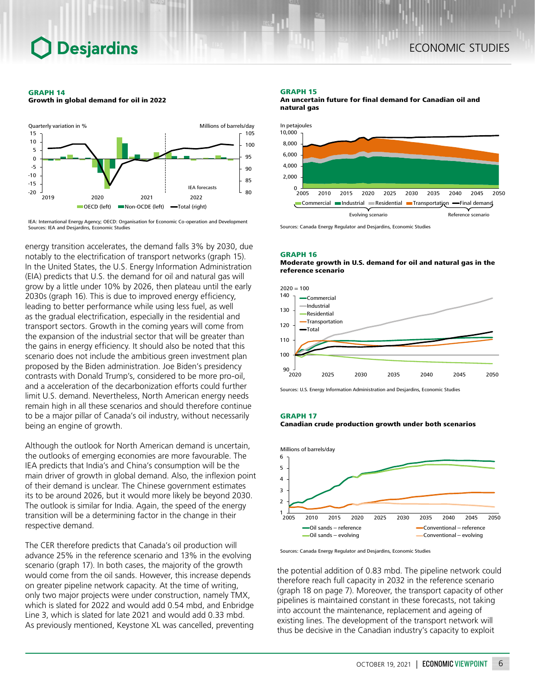GRAPH 14 Growth in global demand for oil in 2022



IEA: International Energy Agency; OECD: Organisation for Economic Co-operation and Development Sources: IEA and Desjardins, Economic Studies

energy transition accelerates, the demand falls 3% by 2030, due notably to the electrification of transport networks (graph 15). In the United States, the U.S. Energy Information Administration (EIA) predicts that U.S. the demand for oil and natural gas will grow by a little under 10% by 2026, then plateau until the early 2030s (graph 16). This is due to improved energy efficiency, leading to better performance while using less fuel, as well as the gradual electrification, especially in the residential and transport sectors. Growth in the coming years will come from the expansion of the industrial sector that will be greater than the gains in energy efficiency. It should also be noted that this scenario does not include the ambitious green investment plan proposed by the Biden administration. Joe Biden's presidency contrasts with Donald Trump's, considered to be more pro-oil, and a acceleration of the decarbonization efforts could further limit U.S. demand. Nevertheless, North American energy needs remain high in all these scenarios and should therefore continue to be a major pillar of Canada's oil industry, without necessarily being an engine of growth.

Although the outlook for North American demand is uncertain, the outlooks of emerging economies are more favourable. The IEA predicts that India's and China's consumption will be the main driver of growth in global demand. Also, the inflexion point of their demand is unclear. The Chinese government estimates its to be around 2026, but it would more likely be beyond 2030. The outlook is similar for India. Again, the speed of the energy transition will be a determining factor in the change in their respective demand.

The CER therefore predicts that Canada's oil production will advance 25% in the reference scenario and 13% in the evolving scenario (graph 17). In both cases, the majority of the growth would come from the oil sands. However, this increase depends on greater pipeline network capacity. At the time of writing, only two major projects were under construction, namely TMX, which is slated for 2022 and would add 0.54 mbd, and Enbridge Line 3, which is slated for late 2021 and would add 0.33 mbd. As previously mentioned, Keystone XL was cancelled, preventing

#### GRAPH 15

An uncertain future for final demand for Canadian oil and natural gas



Sources: Canada Energy Regulator and Desjardins, Economic Studies

#### GRAPH 16

Moderate growth in U.S. demand for oil and natural gas in the reference scenario



Sources: U.S. Energy Information Administration and Desjardins, Economic Studies





Sources: Canada Energy Regulator and Desjardins, Economic Studies

the potential addition of 0.83 mbd. The pipeline network could therefore reach full capacity in 2032 in the reference scenario (graph 18 on page 7). Moreover, the transport capacity of other pipelines is maintained constant in these forecasts, not taking into account the maintenance, replacement and ageing of existing lines. The development of the transport network will thus be decisive in the Canadian industry's capacity to exploit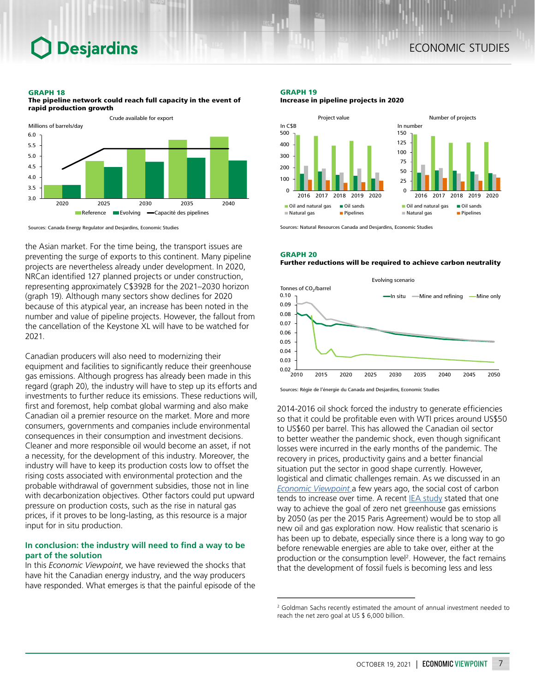### GRAPH 18



The pipeline network could reach full capacity in the event of rapid production growth

Sources: Canada Energy Regulator and Desjardins, Economic Studies

the Asian market. For the time being, the transport issues are preventing the surge of exports to this continent. Many pipeline projects are nevertheless already under development. In 2020, NRCan identified 127 planned projects or under construction, representing approximately C\$392B for the 2021–2030 horizon (graph 19). Although many sectors show declines for 2020 because of this atypical year, an increase has been noted in the number and value of pipeline projects. However, the fallout from the cancellation of the Keystone XL will have to be watched for 2021.

Canadian producers will also need to modernizing their equipment and facilities to significantly reduce their greenhouse gas emissions. Although progress has already been made in this regard (graph 20), the industry will have to step up its efforts and investments to further reduce its emissions. These reductions will, first and foremost, help combat global warming and also make Canadian oil a premier resource on the market. More and more consumers, governments and companies include environmental consequences in their consumption and investment decisions. Cleaner and more responsible oil would become an asset, if not a necessity, for the development of this industry. Moreover, the industry will have to keep its production costs low to offset the rising costs associated with environmental protection and the probable withdrawal of government subsidies, those not in line with decarbonization objectives. Other factors could put upward pressure on production costs, such as the rise in natural gas prices, if it proves to be long-lasting, as this resource is a major input for in situ production.

# **In conclusion: the industry will need to find a way to be part of the solution**

In this *Economic Viewpoint*, we have reviewed the shocks that have hit the Canadian energy industry, and the way producers have responded. What emerges is that the painful episode of the

### GRAPH 19 Increase in pipeline projects in 2020



Sources: Natural Resources Canada and Desjardins, Economic Studies

#### GRAPH 20 Further reductions will be required to achieve carbon neutrality



Sources: Régie de l'énergie du Canada and Desjardins, Economic Studies

2014-2016 oil shock forced the industry to generate efficiencies so that it could be profitable even with WTI prices around US\$50 to US\$60 per barrel. This has allowed the Canadian oil sector to better weather the pandemic shock, even though significant losses were incurred in the early months of the pandemic. The recovery in prices, productivity gains and a better financial situation put the sector in good shape currently. However, logistical and climatic challenges remain. As we discussed in an *[Economic Viewpoint](https://www.desjardins.com/ressources/pdf/pv190821-e.pdf?resVer=1566394854000)* a few years ago, the social cost of carbon tends to increase over time. A recent [IEA study](https://www.iea.org/reports/net-zero-by-2050) stated that one way to achieve the goal of zero net greenhouse gas emissions by 2050 (as per the 2015 Paris Agreement) would be to stop all new oil and gas exploration now. How realistic that scenario is has been up to debate, especially since there is a long way to go before renewable energies are able to take over, either at the production or the consumption level<sup>2</sup>. However, the fact remains that the development of fossil fuels is becoming less and less

<sup>&</sup>lt;sup>2</sup> Goldman Sachs recently estimated the amount of annual investment needed to reach the net zero goal at US \$ 6,000 billion.